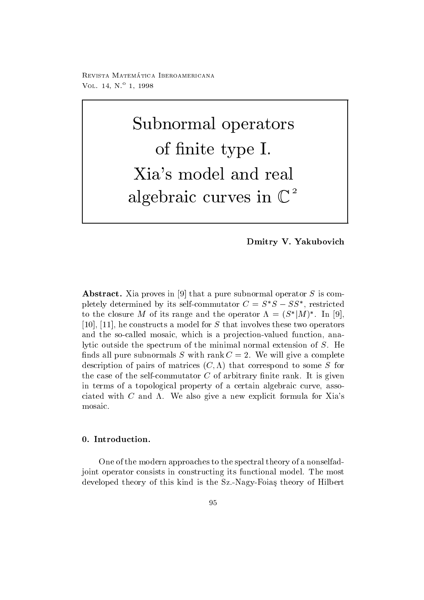Revista Matematica - Iberoamericana VOL  $14, N^{\circ} 1, 1998$ 

> $\sim$  substitute operators with  $\sim$  10  $\sim$  0.000  $\sim$  0.000  $\sim$  0.000  $\sim$  0.000  $\sim$ of a statement in the interval of the statement of the statement of the statement of the statement of the statement of the statement of the statement of the statement of the statement of the statement of the statement of t Xia's model and real  $\mathbf{a}$  and  $\mathbf{b}$  curves in Case in Case in Case in Case is considered in Case in Case in Case in Case in Case in Case in Case in Case in Case in Case in Case in Case in Case in Case in Case in Case in Case in Case in

> > $\mathcal{U}$

abstractive in - that a pure subset of the pure subset in a pure subset of the subset of the subset of the subs pletely determined by its self-commutator  $C = S$   $S - S$  , restricted to the closure M of its range and the operator  $\Lambda = (S^*|M)^*$ . In [9],  $\blacksquare$  . The construction of S that involves the set two operators that involves the set of  $\blacksquare$ and the so-called mosaic, which is a projection-valued function, analytic outside the spectrum of the minimal normal extension of  $S$ . He finds all pure subnormals S with rank  $C = 2$ . We will give a complete description of pairs of matrices  $\{ \phi_j, \phi_{j+1} \}$  , that corresponds to some  $\phi_j$  for  $\phi_j$ the case of the self-commutator  $C$  of arbitrary finite rank. It is given in terms of a topological property of a certain algebraic curve, associated with  $C$  and  $\Lambda$ . We also give a new explicit formula for Xia's mosaic

One of the modern approaches to the spectral theory of a nonselfad joint operator consists in constructing its functional model The most developed theory of this kind is the Sz.-Nagy-Foias theory of Hilbert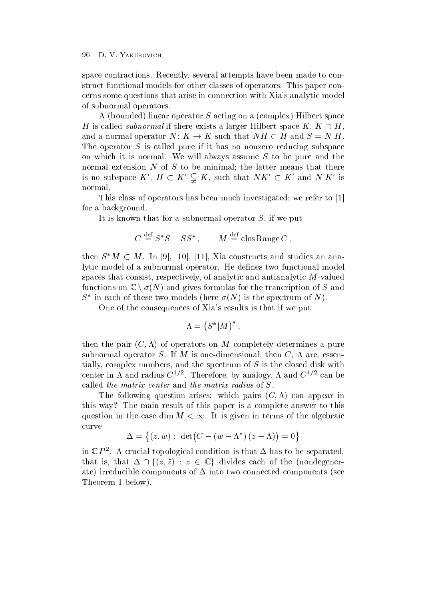space contractions. Recently, several attempts have been made to construct functional models for other classes of operators. This paper concerns some questions that arise in connection with Xia's analytic model of subnormal operators

A bounded linear operator S acting on a complex Hilbert space H is called *subnormal* if there exists a larger Hilbert space  $K, K \supseteq H$ , and a normal operator  $N: K \to K$  such that  $NH \subset H$  and  $S = N|H$ . The operator  $S$  is called pure if it has no nonzero reducing subspace on which it is normal. We will always assume  $S$  to be pure and the normal extension  $N$  of  $S$  to be minimal; the latter means that there is no subspace  $K'$ ,  $H \subset K' \subsetneq K$ , such that  $NK' \subset K'$  and  $N|K'$  is normal

This class of operators has been much investigated we refer to  $\mathcal{L}(\mathcal{N})$  . This is a refer to -  $\mathcal{L}(\mathcal{N})$ for a background

It is known that for a subnormal operator  $S$ , if we put

$$
C \stackrel{\text{def}}{=} S^*S - SS^*
$$
,  $M \stackrel{\text{def}}{=} \text{clos Range } C$ ,

then  $S^*M \subset M$ . In 9, 10, 11, Xia constructs and studies an analytic model of a subnormal operator. He defines two functional model spaces that consist, respectively, of analytic and antianalytic  $M$ -valued functions on  $\mathbb{C} \setminus \sigma(N)$  and gives formulas for the trancription of S and  $S$  in each of these two models (here  $\sigma(N)$  is the spectrum of N).

One of the consequences of Xia's results is that if we put

$$
\Lambda = \left( S^* | M \right)^*,
$$

then the pair C- of operators on M completely determines a pure subnormal operator S. If M is one-dimensional, then C,  $\Lambda$  are, essentially, complex numbers, and the spectrum of  $S$  is the closed disk with center in A and radius  $C^{-r}$ . Therefore, by analogy, A and  $C^{-r}$  can be called the matrix center and the matrix radius of S

The following question arises which pairs C- can appear in this way? The main result of this paper is a complete answer to this question in the case dim  $M < \infty$ . It is given in terms of the algebraic curve

$$
\Delta = \{(z,w): \ \det\left(C - (w - \Lambda^*) (z - \Lambda)\right) = 0\}
$$

in  $\mathbb{C}$  P  $^-$ . A crucial topological condition is that  $\Delta$  has to be separated, that is, that  $\Delta \cap \{(z,\bar{z}) : z \in \mathbb{C}\}\$  divides each of the (nondegenerate, into the components of the components of  $\sim$  into two components into the components  $\sim$ Theorem is the contract of the contract of  $\mathbf{I}$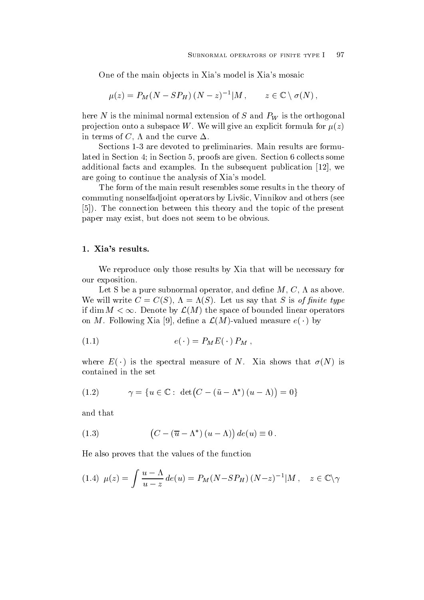One of the main objects in Xia's model is Xia's mosaic

$$
\mu(z) = P_M(N - SP_H)(N - z)^{-1}|M, \qquad z \in \mathbb{C} \setminus \sigma(N),
$$

here N is the minimal normal extension of S and  $P_W$  is the orthogonal projection onto a subspace W. We will give an explicit formula for  $\mu(z)$ in terms of C,  $\Lambda$  and the curve  $\Delta$ .

Sections 1-3 are devoted to preliminaries. Main results are formulated in Section  $4$ ; in Section  $5$ , proofs are given. Section  $6$  collects some additional facts and examples In the subsequent publication - we have been determined by the subsequent public are going to continue the analysis of Xia's model.

The form of the main result resembles some results in the theory of commuting nonselfadjoint operators by Livšic, Vinnikov and others (see - The connection between this theory and the topic of the present paper may exist, but does not seem to be obvious.

We reproduce only those results by Xia that will be necessary for our exposition

Let S be a pure subnormal operator, and define  $M, C, \Lambda$  as above. with the contract contract contract of the second contract of the state of the S is of the S is of the S is of the S is of the S is of the S is of the S is of the S is of the S is of the S is of the S is of the S is of the if dim  $M < \infty$ . Denote by  $\mathcal{L}(M)$  the space of bounded linear operators on M. Following Xia [9], define a  $\mathcal{L}(M)$ -valued measure  $e(\cdot)$  by

$$
(1.1) \t\t e(\cdot) = P_M E(\cdot) P_M ,
$$

where  $E(Y)$  is the spectral measure of N. Ala shows that  $U(Y)$  is contained in the set

$$
(1.2) \qquad \gamma = \{ u \in \mathbb{C} : \det\left(C - (\bar{u} - \Lambda^*) (u - \Lambda)\right) = 0 \}
$$

and that

(1.3) 
$$
(C - (\overline{u} - \Lambda^*) (u - \Lambda)) de(u) \equiv 0.
$$

He also proves that the values of the function

(1.4) 
$$
\mu(z) = \int \frac{u - \Lambda}{u - z} de(u) = P_M(N - SP_H)(N - z)^{-1} |M, \quad z \in \mathbb{C} \setminus \gamma
$$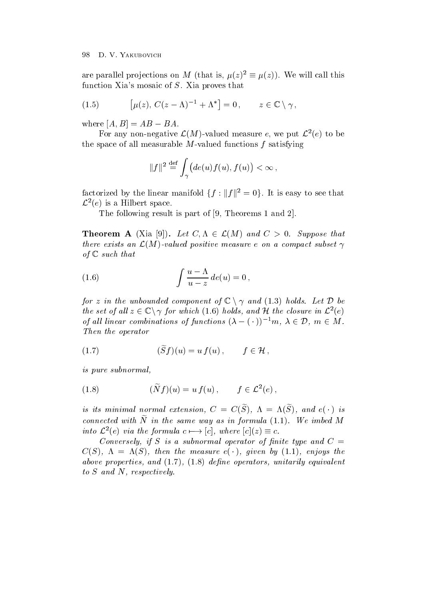are parallel projections on M (that is,  $\mu(z)^2 \equiv \mu(z)$ ). We will call this function Xia's mosaic of  $S$ . Xia proves that

(1.5) 
$$
\left[\mu(z), C(z-\Lambda)^{-1}+\Lambda^*\right] = 0, \qquad z \in \mathbb{C} \setminus \gamma,
$$

where  $|A, B| = AD = DA$ .

For any non-negative  $\mathcal{L}(M)$ -valued measure e, we put  $\mathcal{L}^2(e)$  to be the space of all measurable  $M$ -valued functions f satisfying

$$
||f||^2 \stackrel{\text{def}}{=} \int_{\gamma} \big( de(u)f(u), f(u) \big) < \infty \,,
$$

factorized by the linear manifold  $\{f : ||f||^2 = 0\}$ . It is easy to see that  $\mathcal{L}^2(e)$  is a Hilbert space.

The following result is part of - Theorems  and

**Theorem A** (Xia 9)). Let  $C, \Lambda \in \mathcal{L}(M)$  and  $C > 0$ . Suppose that there exists an  $\mathcal{L}(M)$ -valued positive measure e on a compact subset  $\gamma$ of the contract that the contract of the contract of the contract of the contract of the contract of the contract of the contract of the contract of the contract of the contract of the contract of the contract of the contr

(1.6) 
$$
\int \frac{u - \Lambda}{u - z} de(u) = 0,
$$

for z in the unbounded component of  $\mathbb{C} \setminus \gamma$  and  $(1.3)$  holds. Let  $\mathcal D$  be the set of all  $z \in \mathbb{C} \setminus \gamma$  for which (1.6) holds, and H the closure in  $\mathcal{L}^2(e)$ of all linear combinations of functions  $(\lambda - (\cdot))^{-1}m$ ,  $\lambda \in \mathcal{D}$ ,  $m \in M$ . The operator of the operator of the operator of the operator of the operator of the operator of the operator o

$$
(1.7) \qquad (\tilde{S}f)(u) = u f(u) \, , \qquad f \in \mathcal{H} \, ,
$$

is pure subnormal

(1.8) 
$$
(\widetilde{N}f)(u) = u f(u), \qquad f \in \mathcal{L}^2(e),
$$

is us minimal normal extension,  $C = C(S)$ ,  $\Lambda = \Lambda(S)$ , and  $\varepsilon(\cdot)$  is connected with iverthered and way as in formula  $(1,1)$ . We imped in into  $\mathcal{L}^2(e)$  via the formula  $c \mapsto [c]$ , where  $[c](z) \equiv c$ .

Conversely if S is <sup>a</sup> subnormal operator of -nite type and C  $C(\beta)$ ,  $\Lambda = \Lambda(\beta)$ , then the measure  $e(\cdot)$ , qiven by  $(1.1)$ , enjoys the above properties, and the right form of the approximation of an interesting and all all and the control of the to N who help is the second through the second second to  $\sim$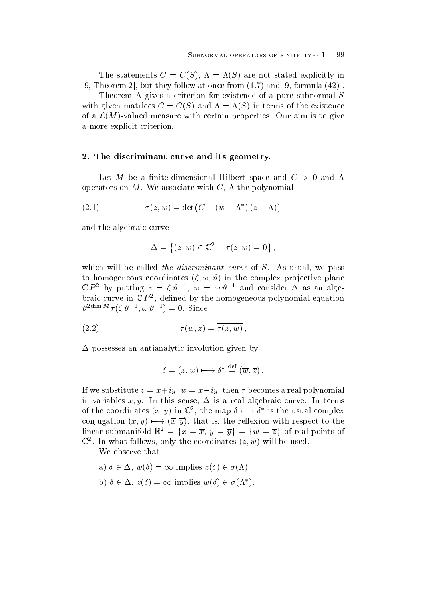The statements  $\mathcal{S} = \{ \mathbf{S} \mid \mathbf{S} \in \mathcal{S} \}$  is an are not stated explicitly in the state of  $\mathcal{S} = \{ \mathbf{S} \mid \mathbf{S} \in \mathcal{S} \}$  $\mathbf{r}$  . The concerns the set of the following at once from  $\mathbf{r}$  and  $\mathbf{r}$  and  $\mathbf{r}$ 

Theorem A gives a criterion for existence of a pure subnormal  $S$ with given matrices  $\mathcal{L}$  and  $\mathcal{L}$  and  $\mathcal{L}$  and  $\mathcal{L}$  and  $\mathcal{L}$  and  $\mathcal{L}$  and  $\mathcal{L}$  and  $\mathcal{L}$  and  $\mathcal{L}$  and  $\mathcal{L}$  and  $\mathcal{L}$  and  $\mathcal{L}$  and  $\mathcal{L}$  and  $\mathcal{L}$  and  $\mathcal{L}$  and  $\mathcal{L$ of a  $\mathcal{L}(M)$ -valued measure with certain properties. Our aim is to give a more explicit criterion

### - The discriminant curve and its geometry-

Let M be a finite-dimensional Hilbert space and  $C > 0$  and  $\Lambda$ operators on M. We associate with C,  $\Lambda$  the polynomial

(2.1) 
$$
\tau(z, w) = \det(C - (w - \Lambda^*)(z - \Lambda))
$$

and the algebraic curve

$$
\Delta = \{(z, w) \in \mathbb{C}^2 : \; \tau(z, w) = 0\},\,
$$

which will be called the discriminant curve of  $S$ . As usual, we pass to homogeneous coordinates  $\mathcal{A}$  , in the complex plane plane plane plane plane plane plane plane plane plane plane plane plane plane plane plane plane plane plane plane plane plane plane plane plane plane plane plane p  $\mathbb{C}P^{\perp}$  by putting  $z = \mathbb{C}v^{-1}$ ,  $w = \omega v^{-1}$  and consider  $\Delta$  as an algebraic curve in  $\mathbb{C} P^-,$  defined by the homogeneous polynomial equation  $v$ <sup>---------</sup>  $\eta$  ( $\zeta$   $v$  -,  $\omega$   $v$  -  $\eta$  = 0. Since

(2.2) 
$$
\tau(\overline{w},\overline{z}) = \tau(z,w),
$$

 $\Delta$  possesses an antianalytic involution given by

$$
\delta = (z, w) \longmapsto \delta^* \stackrel{\text{def}}{=} (\overline{w}, \overline{z}) .
$$

If we substitute  $z = x + iy$ ,  $w = x - iy$ , then T becomes a real polynomial in variables x-gl in this sense  $\frac{1}{2}$  is a real material curve is a real curve In terms in terms in of the coordinates  $(x, y)$  in  $\mathbb{C}^2$ , the map  $\delta \mapsto \delta^*$  is the usual complex conjugation  $(x, y) \mapsto (x, y)$ , that is, the reflexion with respect to the linear submanifold  $\mathbb{R}^2 = \{x = \overline{x}, y = \overline{y}\} = \{w = \overline{z}\}\$  of real points of  $\mathbb{C}^+$ . In what follows, only the coordinates  $(z,w)$  will be used.

We observe that

- a)  $\delta \in \Delta$ ,  $w(\delta) = \infty$  implies  $z(\delta) \in \sigma(\Lambda)$ ;
- b)  $\delta \in \Delta$ ,  $z(\delta) = \infty$  implies  $w(\delta) \in \sigma(\Lambda^*)$ .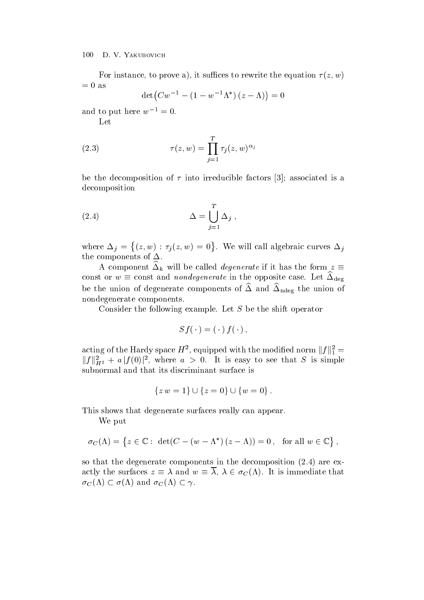For instance to prove a instance to rewrite the equation  $\mathcal{X}$  and  $\mathcal{X}$  are written in the equation of  $\mathcal{X}$  $= 0$  as

$$
\det(Cw^{-1} - (1 - w^{-1}\Lambda^*) (z - \Lambda)) = 0
$$

and to put here  $w_-=0$ .

Let

(2.3) 
$$
\tau(z,w) = \prod_{j=1}^{T} \tau_j(z,w)^{\alpha_j}
$$

be the decomposition of the decomposition of the decomposition of the decomposition of the decomposition of the decomposition

(2.4) 
$$
\Delta = \bigcup_{j=1}^{T} \Delta_j ,
$$

where  $j \in \{1, \ldots, j-1, \ldots, j-1, \ldots, j-1, \ldots, j-1, \ldots, j-1, \ldots, j-1, \ldots, j-1, \ldots, j-1, \ldots, j-1, \ldots, j-1, \ldots, j-1, \ldots, j-1, \ldots, j-1, \ldots, j-1, \ldots, j-1, \ldots, j-1, \ldots, j-1, \ldots, j-1, \ldots, j-1, \ldots, j-1, \ldots, j-1, \ldots, j-1, \ldots, j-1, \ldots, j-1, \ldots, j-1, \ldots, j-1$   $(z, w) : \tau_i(z, w) = 0$ . We will call algebraic curves  $\Delta_i$ the components of  $\Delta$ .

A component  $\Delta_k$  will be called *degenerate* if it has the form  $z\equiv$ const or  $w \equiv {\rm const}$  and nondegenerate in the opposite case. Let  $\Delta_{\rm deg}$ be the union of degenerate components of  $\Delta$  and  $\Delta_{\text{ndeg}}$  the union of nondegenerate components

Consider the following example. Let  $S$  be the shift operator

$$
Sf(\,\cdot\,)= (\,\cdot\,) \, f(\,\cdot\,)\,,
$$

acting of the Hardy space  $H^2$ , equipped with the modified norm  $||f||_1^2 = ||f||_{H^2}^2 + a |f(0)|^2$ , where  $a > 0$ . It is easy to see that S is simple subnormal and that its discriminant surface is

$$
\{z \, w = 1\} \cup \{z = 0\} \cup \{w = 0\}.
$$

This shows that degenerate surfaces really can appear.

We put

$$
\sigma_C(\Lambda) = \left\{ z \in \mathbb{C} : \, \det(C - (w - \Lambda^*) (z - \Lambda)) = 0 \, , \, \text{ for all } w \in \mathbb{C} \right\},\
$$

so that the degenerate components in the decomposition  $\mu$  the decomposition  $\mu$  are excessed in the decomposition  $\mu$ actly the surfaces  $z \equiv \lambda$  and  $w \equiv \lambda$ ,  $\lambda \in \sigma_C(\Lambda)$ . It is immediate that  $\sigma_C(\Lambda) \subset \sigma(\Lambda)$  and  $\sigma_C(\Lambda) \subset \gamma$ .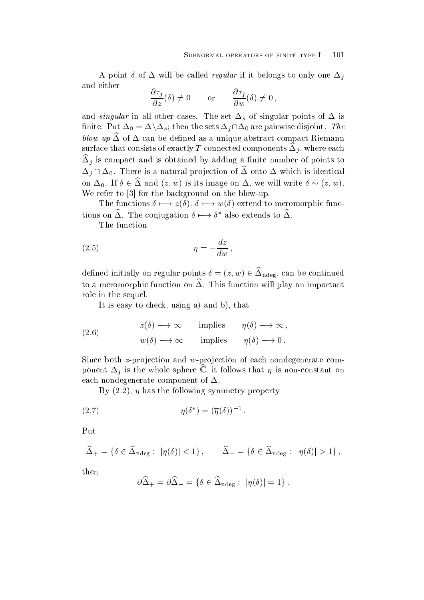A point  $\delta$  of  $\Delta$  will be called *regular* if it belongs to only one  $\Delta_i$ and either

$$
\frac{\partial \tau_j}{\partial z}(\delta) \neq 0 \quad \text{or} \quad \frac{\partial \tau_j}{\partial w}(\delta) \neq 0 ,
$$

and *singular* in all other cases. The set  $\Delta_s$  of singular points of  $\Delta$  is finite. Put  $\Delta_0=\Delta\backslash \Delta_s;$  then the sets  $\Delta_j\cap \Delta_0$  are pairwise disjoint. The  $b_{\rm 0}$  of  $\Delta$  of  $\Delta$  can be defined as a unique abstract compact Riemann surface that consists of exactly T connected components  $\Delta_i$ , where each  $\Delta_i$  is compact and is obtained by adding a nime number of points to  $\Delta_i \cap \Delta_0$ . There is a natural projection of  $\widehat{\Delta}$  onto  $\Delta$  which is identical on  $\Delta_0$ . If  $\delta \in \Delta$  and  $(z, w)$  is its image on  $\Delta$ , we will write  $\delta \sim (z, w)$ . We refer to  $\mathbf{f}$  to  $\mathbf{f}$  the blowup on the blowup on the blowup on the blowup on the blowup on the blowup on the blowup of the blowup of the blowup of the blowup of the blowup of the blowup of the blowup of the bl

The functions  $\delta \mapsto z(\delta), \delta \mapsto w(\delta)$  extend to meromorphic functions on  $\Delta$ . The conjugation  $\delta \mapsto \delta^*$  also extends to  $\Delta$ .

The function

$$
(2.5) \t\t \eta = -\frac{dz}{dw},
$$

defined initially on regular points  $\delta = (z, w) \in \Delta_{\text{ndeg}}$ , can be continued to a meromorphic function on  $\Delta$ . This function will play an important role in the sequel

It is easy to check using a strong and by the check using a strong and by  $\mathbf{r}$ 

(2.6) 
$$
z(\delta) \longrightarrow \infty
$$
 implies  $\eta(\delta) \longrightarrow \infty$ ,  
\n $w(\delta) \longrightarrow \infty$  implies  $\eta(\delta) \longrightarrow 0$ .

Since both  $z$ -projection and w-projection of each nondegenerate component  $\Delta_i$  is the whole sphere C, it follows that  $\eta$  is non-constant on each nondegenerate component of  $\Delta$ .

 $\mathbf{B}$  is the following symmetry property property property property property property property property property property at  $\mathbf{B}$ 

$$
(2.7) \t\t \eta(\delta^*) = (\overline{\eta}(\delta))^{-1}
$$

Put

$$
\widehat{\Delta}_+ = \left\{\delta \in \widehat{\Delta}_{\mathrm{ndeg}}: \; |\eta(\delta)| < 1 \right\}, \qquad \widehat{\Delta}_- = \left\{\delta \in \widehat{\Delta}_{\mathrm{ndeg}}: \; |\eta(\delta)| > 1 \right\},
$$

then

$$
\partial \widehat{\Delta}_+ = \partial \widehat{\Delta}_- = \left\{\delta \in \widehat{\Delta}_{\mathrm{ndeg}}:\; |\eta(\delta)| = 1\right\}.
$$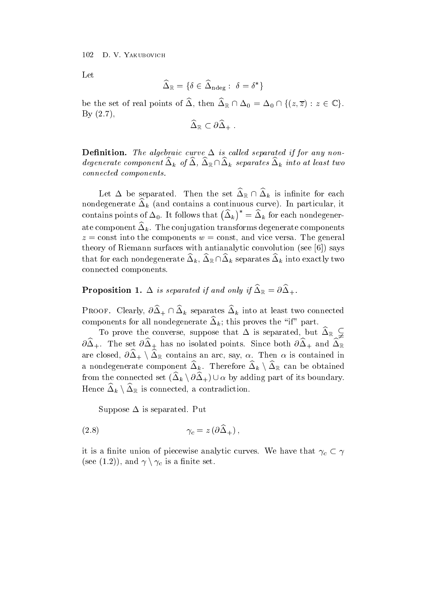Let

$$
\widehat{\Delta}_\mathbb{R} = \{\delta \in \widehat{\Delta}_{\mathrm{ndeg}}:\; \delta = \delta^*\}
$$

be the set of real points of  $\Delta$ , then  $\Delta_{\mathbb{R}} \cap \Delta_0 = \Delta_0 \cap \{(z,\overline{z}) : z \in \mathbb{C}\}.$  $By (2.7).$ 

$$
\widehat{\Delta}_{\mathbb{R}} \subset \partial \widehat{\Delta}_+ \; .
$$

 $D$ chintu $D$ ii. The algebraic curve  $\Delta$  is called separated if for any nondegenerate component  $\Delta_k$  of  $\Delta$ ,  $\Delta_{\mathbb{R}} \cap \Delta_k$  separates  $\Delta_k$  into at least two connected components and components are components and components are components and components are components

Let  $\Delta$  be separated. Then the set  $\Delta_{\mathbb{R}} \cap \Delta_k$  is infinite for each nondegenerate  $\Delta_k$  (and contains a continuous curve). In particular, it contains points of  $\Delta_0$ . It follows that  $(\Delta_k)^* = \Delta_k$  for each nondegenerate component  $\Delta_k$ . The conjugation transforms degenerate components  $z =$ const into the components  $w =$ const, and vice versa. The general theory of Riemann surfaces with an interval  $\mathcal{N}$  -see -  $\mathcal{N}$  -  $\mathcal{N}$  -  $\mathcal{N}$  -  $\mathcal{N}$  -  $\mathcal{N}$  -  $\mathcal{N}$ that for each nondegenerate  $\Delta_k$ ,  $\Delta_{\mathbb{R}} \cap \Delta_k$  separates  $\Delta_k$  into exactly two connected components

**i** reposition **i.**  $\Delta$  is separated if and only if  $\Delta_{\mathbb{R}} = 0\Delta_{+}$ .

**PROOF.** Clearly,  $\partial \Delta_+ \cap \Delta_k$  separates  $\Delta_k$  into at least two connected components for an nondegenerate  $\Delta_k$ , this proves the  $\ln$  part.

To prove the converse, suppose that  $\Delta$  is separated, but  $\Delta_{\mathbb{R}}$   $\neq$  $\sigma\Delta_+$ . The set  $\sigma\Delta_+$  has no isolated points. Since both  $\sigma\Delta_+$  and  $\Delta_{\mathbb{R}}$ are closed,  $\partial \Delta_+ \setminus \Delta_{\mathbb{R}}$  contains an arc, say,  $\alpha$ . Then  $\alpha$  is contained in a nondegenerate component  $\Delta_k$ . Therefore  $\Delta_k \setminus \Delta_\mathbb{R}$  can be obtained from the connected set  $(\Delta_k \setminus \partial \Delta_+) \cup \alpha$  by adding part of its boundary. Hence  $\Delta_k \setminus \Delta_\mathbb{R}$  is connected, a contradiction.

Suppose  $\Delta$  is separated. Put

$$
\gamma_c = z \left( \partial \Delta_+ \right),
$$

it is a finite union of piecewise analytic curves. We have that  $\gamma_c \subset \gamma$ (see (1.2)), and  $\gamma \setminus \gamma_c$  is a finite set.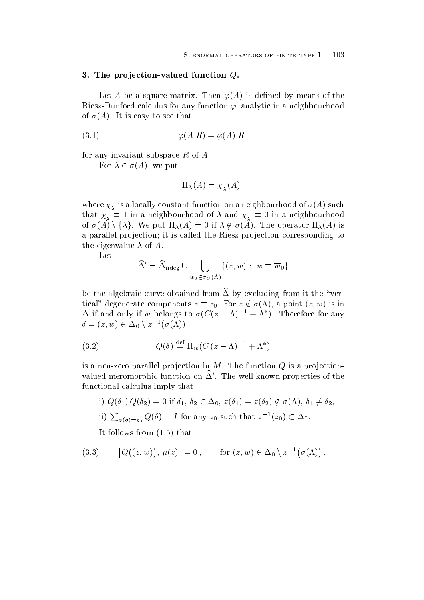### - The pro jection valued function Q-

 $\mathbf{L}$ Riesz-Dunford calculus for any function  $\varphi$ , analytic in a neighbourhood  $\Lambda$  is a function of the set that is easy to see that is easy to see that is easy to see that is easy to see that is easy to see that is easy to see that is easy to see that is easy to see that is easy to see that is eas

$$
\varphi(A|R) = \varphi(A)|R,
$$

for any invariant subspace  $R$  of  $A$ .

For  $\lambda \in \sigma(A)$ , we put

$$
\Pi_{\lambda}(A) = \chi_{\lambda}(A) \,,
$$

is a local interesting function of  $\alpha$  is a neighbourhood of  $\alpha$  and  $\alpha$  is a neighbourhood of  $\alpha$ that  $\chi_{\overline{\lambda}}\equiv 1$  in a neighbourhood of  $\lambda$  and  $\chi_{\overline{\lambda}}\equiv 0$  in a neighbourhood of  $\sigma(A) \setminus \{\lambda\}$ . We put  $\Pi_{\lambda}(A) = 0$  if  $\lambda \notin \sigma(A)$ . The operator  $\Pi_{\lambda}(A)$  is a parallel projection; it is called the Riesz projection corresponding to the eigenvalue  $\lambda$  of A.

$$
\widehat{\Delta}^{\prime} = \widehat{\Delta}_{\mathrm{ndeg}} \cup \bigcup_{w_0 \in \sigma_C(\Lambda)} \{(z,w): \; w \equiv \overline{w}_0\}
$$

be the algebraic curve obtained from  $\widehat{\Delta}$  by excluding from it the "vertical" degenerate components  $z \equiv z_0$ . For  $z \notin \sigma(\Lambda)$ , a point  $(z, w)$  is in  $\Delta$  if and only if w belongs to  $\sigma(U(z - \Lambda)^{-1} + \Lambda^+)$ . Therefore for any  $\delta = (z,w) \in \Delta_0 \setminus z^{-1}(\sigma(\Lambda)),$ 

(3.2) 
$$
Q(\delta) \stackrel{\text{def}}{=} \Pi_w (C (z - \Lambda)^{-1} + \Lambda^*)
$$

is a non-zero parallel projection in  $M$ . The function  $Q$  is a projectionvalued ineromorphic function on  $\Delta$  . The well-known properties of the functional calculus imply that

i)  $Q(\delta_1) Q(\delta_2) = 0$  if  $\delta_1, \delta_2 \in \Delta_0$ ,  $z(\delta_1) = z(\delta_2) \notin \sigma(\Lambda)$ ,  $\delta_1 \neq \delta_2$ , ii)  $\sum_{z(\delta)=z_0} Q(\delta) = I$  for any  $z_0$  such that  $z^{-1}(z_0) \subset \Delta_0$ .

 $\mathbf{I}$  follows from  $\mathbf{I}$  that  $\mathbf{I}$  follows from  $\mathbf{I}$ 

(3.3) 
$$
[Q((z,w)), \mu(z)] = 0, \quad \text{for } (z,w) \in \Delta_0 \setminus z^{-1}(\sigma(\Lambda)).
$$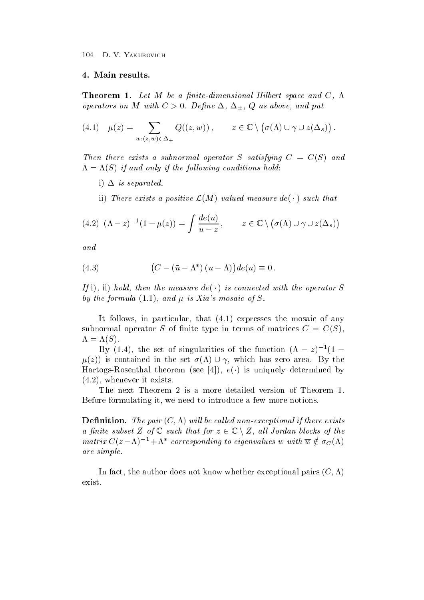Theorem - Let M be <sup>a</sup> -nitedimensional Hilbert space and C operators on M with C De-ne Q as above and put

(4.1) 
$$
\mu(z) = \sum_{w:(z,w)\in\Delta_+} Q((z,w)), \qquad z \in \mathbb{C} \setminus (\sigma(\Lambda) \cup \gamma \cup z(\Delta_s)).
$$

 $\blacksquare$  then there exists a substitution of substitution  $\blacksquare$  . The substitution  $\blacksquare$  $\Lambda = \Lambda(\omega)$  if and only if the following conditions hold.

 $\blacksquare$  is separated and  $\blacksquare$ 

ii) There exists a positive  $\mathcal{L}(M)$ -valued measure  $de(\cdot)$  such that

$$
(4.2) \ (\Lambda - z)^{-1} (1 - \mu(z)) = \int \frac{de(u)}{u - z}, \qquad z \in \mathbb{C} \setminus (\sigma(\Lambda) \cup \gamma \cup z(\Delta_s))
$$

and

(4.3) 
$$
(C - (\bar{u} - \Lambda^*)(u - \Lambda))de(u) \equiv 0.
$$

 $I$  i), ii) nota, then the measure  $ae \rightarrow s$  connected with the operator  $S$ and the formula is the formula of the formula  $\alpha$  is  $\alpha$  is  $\alpha$  is the state of  $\alpha$  is the state of  $\alpha$ 

et follows in particular that  $\mathcal{C}$  is a mosaic of any mosaic of  $\mathcal{C}$ substitution of nite type in terms of  $\Gamma$  of matrices  $\Gamma$  of matrices  $\Gamma$  of  $\Gamma$  of  $\Gamma$  and  $\Gamma$  of  $\Gamma$  of  $\Gamma$  of  $\Gamma$  of  $\Gamma$  of  $\Gamma$  of  $\Gamma$  of  $\Gamma$  of  $\Gamma$  of  $\Gamma$  of  $\Gamma$  of  $\Gamma$  of  $\Gamma$  of  $\Gamma$  of  $\Gamma$  of  $\Gamma$  $\sim$  Section 1 and 2 and 2 and 2 and 2 and 2 and 2 and 2 and 2 and 2 and 2 and 2 and 2 and 2 and 2 and 2 and 2 and 2 and 2 and 2 and 2 and 2 and 2 and 2 and 2 and 2 and 2 and 2 and 2 and 2 and 2 and 2 and 2 and 2 and 2 an

By (1.4), the set of singularities of the function  $(\Lambda - z)^{-1}(1 - z)$  $\mu(z)$  is contained in the set  $\sigma(\Lambda) \cup \gamma$ , which has zero area. By the  $\max$  is uniquely determined by  $\sum_{i=1}^n \sum_{i=1}^n \sum_{j=1}^n \sum_{j=1}^n \sum_{i=1}^n \sum_{j=1}^n \sum_{j=1}^n \sum_{j=1}^n \sum_{j=1}^n \sum_{j=1}^n \sum_{j=1}^n \sum_{j=1}^n \sum_{j=1}^n \sum_{j=1}^n \sum_{j=1}^n \sum_{j=1}^n \sum_{j=1}^n \sum_{j=1}^n \sum_{j=1}^n \sum_{j=1}^n \sum_{j=1}^n$ where  $\mathbf{r}$  is existent in the set of  $\mathbf{r}$ 

The next Theorem 2 is a more detailed version of Theorem 1. Before formulating it, we need to introduce a few more notions.

**Demittion.** The pair  $(\nabla, \Lambda)$  will be called non-exceptional if there exists a finite subset Z of  $\mathbb C$  such that for  $z \in \mathbb C \setminus Z$ , all Jordan blocks of the matrix  $C(z-\Lambda)^{-1}+\Lambda^*$  corresponding to eigenvalues w with  $\overline{w} \notin \sigma_C(\Lambda)$ are simple simple simple simple simple simple simple simple simple simple simple simple simple simple simple s

In fact the author does not know whether exceptional pairs C exist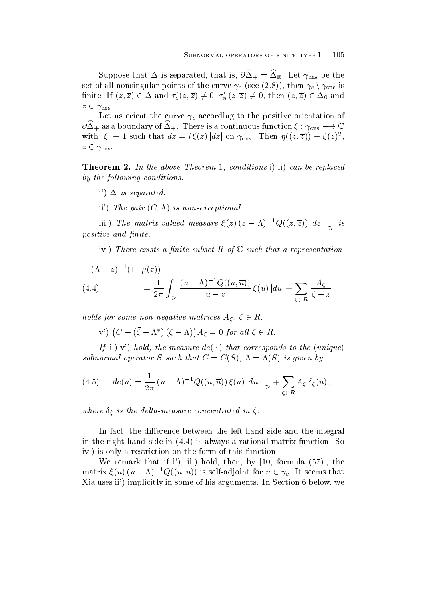Suppose that  $\Delta$  is separated, that is,  $\sigma \Delta_{\uparrow} = \Delta_{\mathbb{R}}$ . Let  $\gamma_{\text{cns}}$  be the set of all nonsingular points of the curve  $\gamma_c$  (see (2.8)), then  $\gamma_c \setminus \gamma_{\rm{cns}}$  is finite. If  $(z,\overline{z})\in\Delta$  and  $\tau_z'(z,\overline{z})\neq0$ ,  $\tau_w'(z,\overline{z})\neq0$ , then  $(z,\overline{z})\in\Delta_0$  and  $z \in \gamma_{\text{cns}}$ .

Let us orient the curve  $\gamma_c$  according to the positive orientation of  $\sigma\Delta_+$  as a boundary of  $\Delta_+$ . There is a continuous function  $\xi:\gamma_{\text{cns}}\longrightarrow\mathbb{C}$ with  $|\xi| \equiv 1$  such that  $dz = i \xi(z) |dz|$  on  $\gamma_{\text{cns}}$ . Then  $\eta((z,\overline{z})) \equiv \xi(z)^2$ ,  $z \in \gamma_{\text{cns}}$ .

Theorem - In the above Theorem  conditions i ii can be replaced og the following containers.

- $\blacksquare$  is separated and  $\blacksquare$
- ii is not a pair of the pair is non-completed in the control of the pair of the pair of the pair of the pair of the pair of the pair of the pair of the pair of the pair of the pair of the pair of the pair of the pair of th

iii') The matrix-valued measure  $\xi(z) (z - \Lambda)^{-1} Q((z, \overline{z})) |dz| \Big|_{\gamma_c}$  is positive and - nite and - positive and - nite and - nite and - nite and - nite and - nite and - nite and - nite

iv There exists <sup>a</sup> -nite subset R of <sup>C</sup> such that <sup>a</sup> representation

$$
(\Lambda - z)^{-1} (1 - \mu(z))
$$
  
(4.4) 
$$
= \frac{1}{2\pi} \int_{\gamma_c} \frac{(u - \Lambda)^{-1} Q((u, \overline{u}))}{u - z} \xi(u) |du| + \sum_{\zeta \in R} \frac{A_{\zeta}}{\zeta - z},
$$

holds for some non-negative matrices  $A_\zeta$ ,  $\zeta \in R$ .

v')  $(C - (\zeta - \Lambda^*)(\zeta - \Lambda))A_{\zeta} = 0$  for all  $\zeta \in R$ .

 $\mu$   $\mu$  i  $\mu$  is the measure det  $\cdot$  ) that corresponds to the  $\mu$  and  $\mu$ substitution in providing the such that C  $\sim$  (C  $\mu$  ) is given by the substitution of  $\mu$ 

$$
(4.5) \t de(u) = \frac{1}{2\pi} (u - \Lambda)^{-1} Q((u, \overline{u})) \xi(u) |du| \Big|_{\gamma_c} + \sum_{\zeta \in R} A_{\zeta} \delta_{\zeta}(u) ,
$$

where is the distribution in the delta measure concentrated in  $\mathcal{S}^1$ 

In fact, the difference between the left-hand side and the integral in the righthand side in is always a rational matrix function So is only a restriction on the form of the form of this function on the form of this function on the function of this function of the function of the form of the function of the function of the function of the function of t

which is a series of the contract in the formula of the series of the series of the series of the contract of the series of the series of the series of the series of the series of the series of the series of the series of matrix  $\xi(u)(u-\Lambda)^{-1}Q((u,\overline{u}))$  is self-adjoint for  $u\in\gamma_c$ . It seems that  $\mathbf{I}$  is a use in some of his arguments in Section  $\mathbf{I}$  in Section 2.1 arguments In Section 2.1 and 2.1 and 2.1 and 2.1 and 2.1 and 2.1 and 2.1 and 2.1 and 2.1 and 2.1 and 2.1 and 2.1 and 2.1 and 2.1 and 2.1 and 2.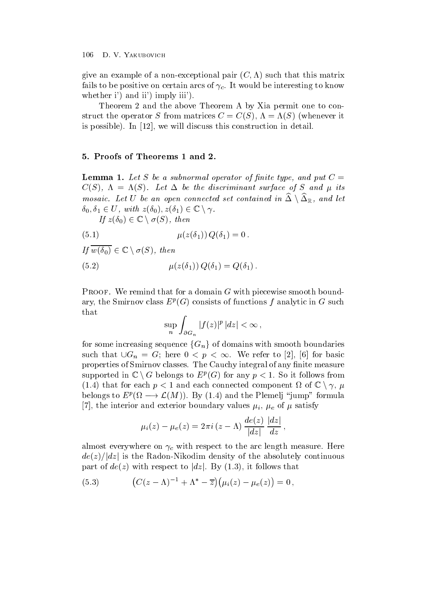$\alpha$  and the angle of a non-zero pair  $\alpha$ -this matrix  $\alpha$ fails to be positive on certain arcs of  $\gamma_c$ . It would be interesting to know whether in the interval in the contract of the interval in the interval in the interval in the interval in the interval in the interval interval in the contract of the interval interval in the interval interval in the inte

Theorem 2 and the above Theorem A by Xia permit one to constructure the operator S from matrix  $\mathcal{S}$  from  $\mathcal{S}$  from  $\mathcal{S}$  from  $\mathcal{S}$  (see Fig. ). is possible to the construction in discussion in details of the construction in details of the construction in  $\mathbb{R}^n$ 

Lemma - Let S be <sup>a</sup> subnormal operator of -nite type and put C C (C ) ) is considered to the discriminant surface of S and B and B and B and B and B and B and B and S and B and S and B and S and B and S and B and S and S and S and S and S and S and S and S and S and S and S and S and mosaic. Let U be an open connected set contained in  $\Delta \setminus \Delta_{\mathbb{R}}$ , and let  $\delta_0, \delta_1 \in U$ , with  $z(\delta_0), z(\delta_1) \in \mathbb{C} \setminus \gamma$ .

If  $z(\delta_0) \in \mathbb{C} \setminus \sigma(S)$ , then

$$
\mu(z(\delta_1)) Q(\delta_1) = 0
$$

If  $w(\delta_0) \in \mathbb{C} \setminus \sigma(S)$ , then

(5.2) 
$$
\mu(z(\delta_1)) Q(\delta_1) = Q(\delta_1).
$$

Proof- We remind that for a domain G with piecewise smooth bound ary, the Smirnov class  $E^F(G)$  consists of functions f analytic in  $G$  such that

$$
\sup_n \int_{\partial G_n} |f(z)|^p \, |dz| < \infty \,,
$$

for some increasing sequence  ${G_n}$  of domains with smooth boundaries such that  $\bigcup G_n = G$ ; here  $0 \leq p \leq \infty$ . We refer to [2], [6] for basic properties of Smirnov classes. The Cauchy integral of any finite measure supported in  $\mathbb{C} \setminus G$  belongs to  $E^p(G)$  for any  $p < 1$ . So it follows from (1.4) that for each  $p < 1$  and each connected component  $\Omega$  of  $\mathbb{C} \setminus \gamma$ ,  $\mu$ belongs to  $E^p(\Omega \longrightarrow \mathcal{L}(M))$ . By (1.4) and the Plemelj "jump" formula  $\alpha$  interior and external exterior and external values in  $\alpha$  interior  $\mu$  in  $\mu$  ,  $\mu$  ,  $\mu$  is an extendity in

$$
\mu_i(z) - \mu_e(z) = 2\pi i (z - \Lambda) \frac{de(z)}{|dz|} \frac{|dz|}{dz},
$$

almost everywhere on  $\gamma_c$  with respect to the arc length measure. Here  $de(z)/|dz|$  is the Radon-Nikodim density of the absolutely continuous part of  $de(z)$  with respect to |dz|. By (1.3), it follows that

(5.3) 
$$
(C(z-\Lambda)^{-1} + \Lambda^* - \overline{z})(\mu_i(z) - \mu_e(z)) = 0,
$$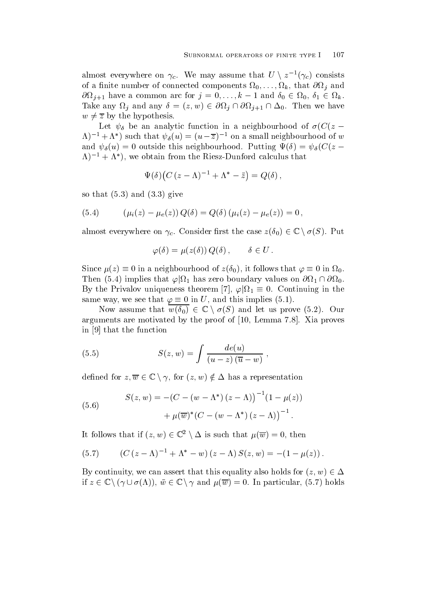almost everywhere on  $\gamma_c$ . We may assume that  $U \setminus z^{-1}(\gamma_c)$  consists  $\mathbf{v}_1$  and  $\mathbf{v}_2$  and  $\mathbf{v}_3$  and  $\mathbf{v}_4$  and  $\mathbf{v}_5$  and  $\mathbf{v}_7$  and  $\mathbf{v}_8$  and  $\mathbf{v}_9$  and  $\mathbf{v}_9$  and  $\mathbf{v}_9$  and  $\mathbf{v}_9$  and  $\mathbf{v}_9$  and  $\mathbf{v}_9$  and  $\mathbf{v}_9$  and  $\mathbf{v}_9$  and  $\mathbf{v}_9$  a  $\partial\Omega_{i+1}$  have a common arc for  $j=0,\ldots,k-1$  and  $\delta_0\in\Omega_0$ ,  $\delta_1\in\Omega_k$ . Take any  $\Omega_i$  and any  $\delta = (z, w) \in \partial \Omega_i \cap \partial \Omega_{i+1} \cap \Delta_0$ . Then we have  $w \neq \overline{z}$  by the hypothesis.

Let  $\psi_{\delta}$  be an analytic function in a neighbourhood of  $\sigma(C(z \Lambda$ )  $^{-}$  +  $\Lambda$  ) such that  $\psi_{\delta}(u) = (u-z)$  = on a small neighbourhood of w and  $\psi_{\delta}(u) = 0$  outside this neighbourhood. Tutting  $\Psi(v) = \psi_{\delta}(U(z))$  $\Lambda$ )  $^{-}$   $+$   $\Lambda$  ), we obtain from the Riesz-Dunford calculus that

$$
\Psi(\delta)\big(C\,(z-\Lambda)^{-1}+\Lambda^*-\bar z\big)=Q(\delta)\,,
$$

so that  $\mathbf{r}$  is the solution of  $\mathbf{r}$  is the solution of  $\mathbf{r}$ 

(5.4) 
$$
(\mu_i(z) - \mu_e(z)) Q(\delta) = Q(\delta) (\mu_i(z) - \mu_e(z)) = 0,
$$

almost everywhere on  $\gamma_c$ . Consider first the case  $z(\delta_0) \in \mathbb{C} \setminus \sigma(S)$ . Put

$$
\varphi(\delta) = \mu(z(\delta)) Q(\delta), \qquad \delta \in U.
$$

Since  $\mu(z) \equiv 0$  in a neighbourhood of  $z(\theta_0)$ Since  $\mu(z) \equiv 0$  in a neignbourhood of  $z(\theta_0)$ , it follows that  $\varphi \equiv 0$  in  $\Omega_0$ .<br>Then (5.4) implies that  $\varphi|\Omega_1$  has zero boundary values on  $\partial\Omega_1 \cap \partial\Omega_0$ . By the Privalov uniqueness theorem [7],  $\varphi | \Omega_1 \equiv 0$ . Continuing in the same way, we see that  $\varphi \equiv 0$  in U, and this implies (5.1).

Now assume that  $w(\delta_0) \in \mathbb{C} \setminus \sigma(S)$  and let us prove (5.2). Our arguments are motivated by the proof of  $\mathbb{R}^n$  are motivated by the proof of  $\mathbb{R}^n$ in the function of the function of the function of the function of  $\mathcal{L}_1$ 

(5.5) 
$$
S(z, w) = \int \frac{de(u)}{(u-z)(\overline{u} - w)},
$$

defined for  $z,\overline{w}\in\mathbb{C}\setminus\gamma,$  for  $(z,w)\notin\Delta$  has a representation

(5.6) 
$$
S(z, w) = -(C - (w - \Lambda^*)(z - \Lambda))^{-1}(1 - \mu(z)) + \mu(\overline{w})^*(C - (w - \Lambda^*)(z - \Lambda))^{-1}.
$$

It follows that if  $(z, w) \in \mathbb{C}^2 \setminus \Delta$  is such that  $\mu(\overline{w}) = 0$ , then

(5.7) 
$$
(C (z - \Lambda)^{-1} + \Lambda^* - w) (z - \Lambda) S(z, w) = -(1 - \mu(z)).
$$

By continuity, we can assert that this equality also holds for  $(z, w) \in \Delta$ if  $z \in \mathbb{C} \setminus (\gamma \cup \sigma(\Lambda))$ ,  $\bar{w} \in \mathbb{C} \setminus \gamma$  and  $\mu(\overline{w}) = 0$ . In particular, (5.7) holds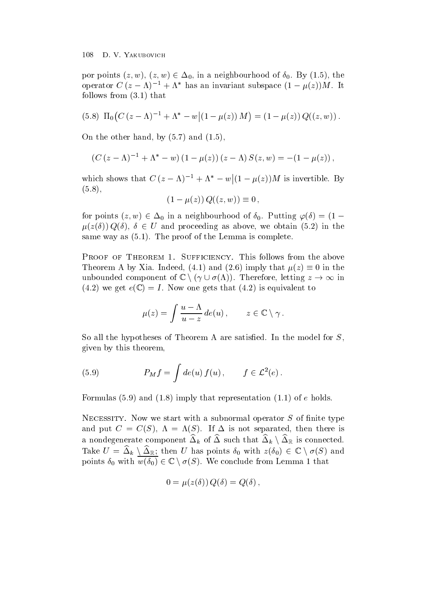por points  $(z, w)$ ,  $(z, w) \in \Delta_0$ , in a neighbourhood of  $\delta_0$ . By (1.5), the operator  $C(z - \Lambda)$  =  $+\Lambda$  has an invariant subspace  $(1 - \mu(z))M$ . It  $\mathbf{f} = \mathbf{f} \mathbf{f}$ 

$$
(5.8) \ \Pi_0 \big( C (z - \Lambda)^{-1} + \Lambda^* - w \big| (1 - \mu(z)) M \big) = (1 - \mu(z)) Q((z, w)).
$$

 $\overline{a}$  and  $\overline{a}$  and  $\overline{a}$  and  $\overline{a}$  and  $\overline{a}$  and  $\overline{a}$  and  $\overline{a}$  and  $\overline{a}$  and  $\overline{a}$  and  $\overline{a}$  and  $\overline{a}$  and  $\overline{a}$  and  $\overline{a}$  and  $\overline{a}$  and  $\overline{a}$  and  $\overline{a}$  and  $\overline{a}$  and

$$
(C (z - \Lambda)^{-1} + \Lambda^* - w) (1 - \mu(z)) (z - \Lambda) S(z, w) = -(1 - \mu(z)),
$$

which shows that  $C(z - \Lambda)^{-1} + \Lambda^* - w|(1 - \mu(z))M$  is invertible. By  $\lambda$  =  $\lambda$   $\lambda$ 

$$
(1 - \mu(z)) Q((z, w)) \equiv 0 ,
$$

for points  $(z, w) \in \Delta_0$  in a neighbourhood of  $\delta_0$ . Putting  $\varphi(\delta) = (1 - \Delta_0)$  $\mu(z(\delta)) Q(\delta)$ ,  $\delta \in U$  and proceeding as above, we obtain (5.2) in the same way as a structure way as a structure way of the Lemma is complete the Lemma is complete the Lemma is complete

Theorem A by Xia. Indeed, (4.1) and (2.6) imply that  $\mu(z) \equiv 0$  in the unbounded component of  $\mathbb{C} \setminus (\gamma \cup \sigma(\Lambda))$ . Therefore, letting  $z \to \infty$  in we get a loop of the contract of the contract of the contract of the contract of the contract of the contract of the contract of the contract of the contract of the contract of the contract of the contract of the contract

$$
\mu(z) = \int \frac{u - \Lambda}{u - z} \, de(u) \, , \qquad z \in \mathbb{C} \setminus \gamma \, .
$$

So all the hypotheses of Theorem A are satisfied. In the model for  $S$ , given by this theorem

(5.9) 
$$
P_M f = \int de(u) f(u), \qquad f \in \mathcal{L}^2(e).
$$

 $-$  . In the representation of  $\mathbb{R}^n$  is the contract of  $\mathbb{R}^n$  . In the contract of the contract of  $\mathbb{R}^n$ 

Necessity-independent with a substitution of necessity-independent with a subnormal operator S of nite type of and put C  $\sim$  1. Then the is not separated then the issue is not separated then the issue is not separated then the issue is not separated then the issue is not separated then the issue is not separated then the issue is a nondegenerate component  $\Delta_k$  of  $\Delta$  such that  $\Delta_k \setminus \Delta_\mathbb{R}$  is connected. Take  $U = \Delta_k \setminus \Delta_k$ ; then U has points  $\delta_0$  with  $z(\delta_0) \in \mathbb{C} \setminus \sigma(S)$  and points  $\delta_0$  with  $w(\delta_0) \in \mathbb{C} \setminus \sigma(S)$ . We conclude from Lemma 1 that

$$
0 = \mu(z(\delta)) Q(\delta) = Q(\delta),
$$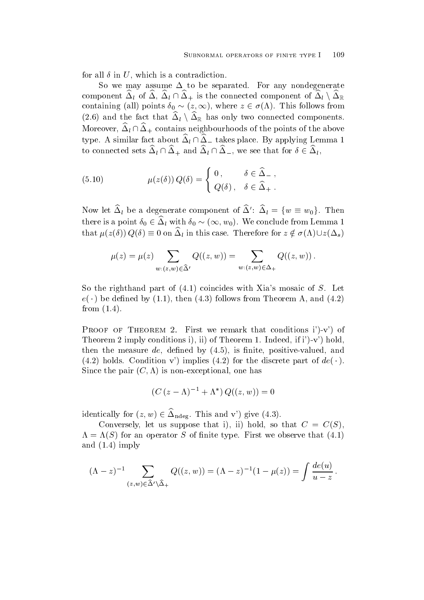for all  $\delta$  in U, which is a contradiction.

So we may assume  $\Delta$  to be separated. For any nondegenerate component  $\Delta_l$  of  $\Delta, \ \Delta_l \cap \Delta_+$  is the connected component of  $\Delta_l \setminus \Delta_\mathbb{R}$ containing (all) points  $\delta_0 \sim (z,\infty)$ , where  $z \in \sigma(\Lambda)$ . This follows from (2.6) and the fact that  $\Delta_l \setminus \Delta_{\mathbb{R}}$  has only two connected components. Moreover,  $\Delta_l \cap \Delta_+$  contains neighbourhoods of the points of the above type. A similar fact about  $\Delta_l \cap \Delta_{-}$  takes place. By applying Lemma 1 to connected sets  $\Delta_l \cap \Delta_+$  and  $\Delta_l \cap \Delta_-$ , we see that for  $\delta \in \Delta_l$ ,

(5.10) 
$$
\mu(z(\delta)) Q(\delta) = \begin{cases} 0, & \delta \in \widehat{\Delta}_{-} ,\\ Q(\delta), & \delta \in \widehat{\Delta}_{+} . \end{cases}
$$

Now let  $\Delta_l$  be a degenerate component of  $\Delta'$ :  $\Delta_l = \{w \equiv w_0\}$ . Then there is a point  $\delta_0 \in \Delta_l$  with  $\delta_0 \sim (\infty, w_0)$ . We conclude from Lemma 1 that  $\mu(z(\delta)) Q(\delta) \equiv 0$  on  $\Delta_l$  in this case. Therefore for  $z \notin \sigma(\Lambda) \cup z(\Delta_s)$ 

$$
\mu(z) = \mu(z) \sum_{w:(z,w)\in \widehat{\Delta}'} Q((z,w)) = \sum_{w:(z,w)\in \Delta_+} Q((z,w)) .
$$

so the right-hand part of  $\{1,2,3\}$  , coincides with  $\{2,3,4\}$  and  $\{1,4\}$  and  $\{2,4\}$  $e(\ \cdot\ )$  be defined by  $(1.1)$ , then  $(4.5)$  follows from Theorem A, and  $(4.2)$ from the contract of the contract of the contract of the contract of the contract of the contract of the contract of the contract of the contract of the contract of the contract of the contract of the contract of the contr

Proof of Theorem - First we remark that conditions i v of  $\mathbf{r}$  is a set of the conditions in the conditions in the conditions in the conditions in the conditions of  $\mathbf{r}$ then then then then then then the measurements of  $\mathbf{r}$  is nite positive valued and  $\mathbf{r}$  $(4.2)$  holds. Condition v  $\mu$  implies  $(4.2)$  for the discrete part of  $de(\cdot)$ . Since the pair C- is nonexceptional one has

$$
(C (z - \Lambda)^{-1} + \Lambda^*) Q((z, w)) = 0
$$

identically for  $(z, w) \in \Delta_{\text{ndeg}}$ . This and v') give (4.3).

conversely let us suppose that it is supposed to the converse that it is not in the converse of the converse o **Contract Contract Contract Contract Contract Contract Contract Contract Contract Contract Contract Contract Contract Contract Contract Contract Contract Contract Contract Contract Contract Contract Contract Contract Contr**  S for an operator S of nite type First we observe that  and an analyzing  $\mathcal{L} = \mathcal{L} = \mathcal{L} = \mathcal{L} = \mathcal{L} = \mathcal{L} = \mathcal{L} = \mathcal{L} = \mathcal{L} = \mathcal{L} = \mathcal{L} = \mathcal{L} = \mathcal{L} = \mathcal{L} = \mathcal{L} = \mathcal{L} = \mathcal{L} = \mathcal{L} = \mathcal{L} = \mathcal{L} = \mathcal{L} = \mathcal{L} = \mathcal{L} = \mathcal{L} = \mathcal{L} = \mathcal{L} = \mathcal{L} = \mathcal{L} = \mathcal{L} =$ 

$$
(\Lambda - z)^{-1} \sum_{(z,w)\in \widehat{\Delta}' \setminus \widehat{\Delta}_+} Q((z,w)) = (\Lambda - z)^{-1} (1 - \mu(z)) = \int \frac{de(u)}{u - z}.
$$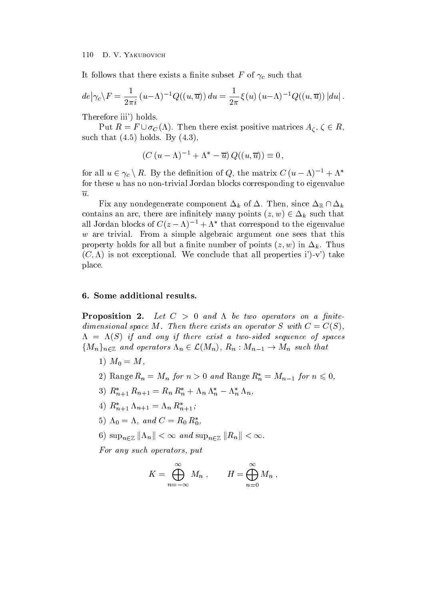It follows that there exists a finite subset F of  $\gamma_c$  such that

$$
de \big| \gamma_c \setminus F = \frac{1}{2\pi i} \left( u - \Lambda \right)^{-1} Q((u, \overline{u})) du = \frac{1}{2\pi} \xi(u) \left( u - \Lambda \right)^{-1} Q((u, \overline{u})) du \big|.
$$

 $\mathbf{f}$  is the form of  $\mathbf{f}$  is the form of  $\mathbf{f}$  is the form of  $\mathbf{f}$ 

Put  $R = F \cup \sigma_C(\Lambda)$ . Then there exist positive matrices  $A_{\zeta}, \zeta \in R$ , such that  $\mathbf{h}$  is a such that  $\mathbf{h}$  is a such that  $\mathbf{h}$  is a such that  $\mathbf{h}$  is a such that  $\mathbf{h}$ 

$$
(C (u - \Lambda)^{-1} + \Lambda^* - \overline{u}) Q((u, \overline{u})) \equiv 0,
$$

for all  $u \in \gamma_c \setminus R$ . By the definition of Q, the matrix  $C (u - \Lambda)^{-1} + \Lambda^*$ for these  $u$  has no non-trivial Jordan blocks corresponding to eigenvalue  $\overline{u}$ .

Fix any nondegenerate component  $\Delta_k$  of  $\Delta$ . Then, since  $\Delta_{\mathbb{R}} \cap \Delta_k$ contains an arc, there are infinitely many points  $(z,w) \in \Delta_k$  such that all Jordan blocks of  $C(z - \Lambda)$  =  $+\Lambda$  -that correspond to the eigenvalue  $w$  are trivial. From a simple algebraic argument one sees that this property holds for all but a nite number of points  $\mathbb{R}$  and  $\mathbb{R}$  in the number of points  $\mathbb{R}$  in the number of points  $\mathbb{R}$  in the number of points  $\mathbb{R}$  in the number of  $\mathbb{R}$  in the number of  $\mathbb{R$ variation is not except that all properties is not all properties in the conclusion of the conclusion of the conclusion of the conclusion of the conclusion of the conclusion of the conclusion of the conclusion of the concl place

Proposition - Let C and be two operators on <sup>a</sup> -nite $u$  and  $u$  and  $u$  are  $u$  included the exists and operator  $S$  with  $C = \cup \cup I$ , Se if and only if there exist a two-sequence of spaces of spaces of spaces and spaces of spaces of spaces of s  ${M_n}_{n \in \mathbb{Z}}$  and operators  $\Lambda_n \in \mathcal{L}(M_n)$ ,  $R_n : M_{n-1} \to M_n$  such that

- $\blacksquare$  ,  $\blacksquare$  ,  $\blacksquare$  ,  $\blacksquare$  ,  $\blacksquare$  ,  $\blacksquare$  ,  $\blacksquare$  ,  $\blacksquare$  ,  $\blacksquare$  ,  $\blacksquare$  ,  $\blacksquare$  ,  $\blacksquare$  ,  $\blacksquare$  ,  $\blacksquare$  ,  $\blacksquare$  ,  $\blacksquare$  ,  $\blacksquare$  ,  $\blacksquare$  ,  $\blacksquare$  ,  $\blacksquare$  ,  $\blacksquare$  ,  $\blacksquare$  ,  $\blacksquare$  ,  $\blacksquare$  ,  $\blacksquare$
- 2) Kange  $R_n = M_n$  for  $n > 0$  and Kange  $R_n = M_{n-1}$  for n
- 3)  $R_{n+1}^* R_{n+1} = R_n R_n^* + \Lambda_n \Lambda_n^* \Lambda_n^* \Lambda_n$
- 4)  $R_{n+1} \Lambda_{n+1} = \Lambda_n R_{n+1}$
- $a_0 = \Lambda$ , and  $C = R_0 R_0$ ,
- 6)  $\sup_{n\in\mathbb{Z}}\|\Lambda_n\| < \infty$  and  $\sup_{n\in\mathbb{Z}}\|R_n\| < \infty$ .

For any such operators put

$$
K = \bigoplus_{n=-\infty}^{\infty} M_n , \qquad H = \bigoplus_{n=0}^{\infty} M_n ,
$$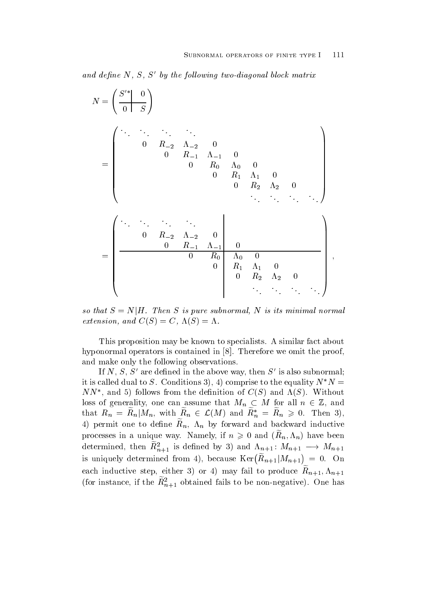ana define iv, 5, 5 by the following two-diagonal block matrix

$$
N = \left(\begin{array}{cc|cc} S'^* & 0 \\ \hline 0 & S \end{array}\right)
$$
  
= 
$$
\left(\begin{array}{ccccc} \cdot & \cdot & \cdot & \cdot & \cdot \\ 0 & R_{-2} & \Lambda_{-2} & 0 \\ 0 & R_{-1} & \Lambda_{-1} & 0 \\ 0 & R_0 & \Lambda_0 & 0 \\ 0 & R_1 & \Lambda_1 & 0 \\ 0 & R_2 & \Lambda_2 & 0 \\ \cdot & \cdot & \cdot & \cdot & \cdot \\ 0 & R_{-2} & \Lambda_{-2} & 0 \\ 0 & R_{-1} & \Lambda_{-1} & 0 \\ 0 & R_0 & \Lambda_0 & 0 \\ 0 & R_1 & \Lambda_1 & 0 \\ 0 & R_2 & \Lambda_2 & 0 \\ \end{array}\right),
$$

so that  $S = N|H$ . Then S is pure subnormal, N is its minimal normal extension and  $\mathcal{L}$  ,  $\mathcal{L}$  ,  $\mathcal{L}$  ,  $\mathcal{L}$  ,  $\mathcal{L}$  ,  $\mathcal{L}$  ,  $\mathcal{L}$  ,  $\mathcal{L}$ 

This proposition may be known to specialists A similar fact about hyponormal operators is contained in - Therefore we omit the proof and make only the following observations

If  $N$ ,  $S$ ,  $S$  are defined in the above way, then  $S$  is also subhormal, It is called qual to  $S$ . Conditions  $\delta$ ), 4) comprise to the equality  $N/N =$ TVTV, and 3) follows from the definition of  $C(S)$  and  $\Lambda(S)$ . Without loss of generality, one can assume that  $M_n \subset M$  for all  $n \in \mathbb{Z}$ , and that  $R_n = R_n | M_n$ , with  $R_n \in \mathcal{L}(M)$  and  $R_n^* = R_n \geqslant 0$ . Then 3), **The Community of the Community of the Community**  $\tau$ ) permit one to denne  $\mu_n$ ,  $\mu_n$  by forward and backward inductive processes in a unique way. Ivaluely, if  $n \geq 0$  and  $\left( n_n, n_n \right)$  have been determined, then  $R_{n+1}^*$  is defined by 3) and  $\Lambda_{n+1}$ :  $M_{n+1} \longrightarrow M_{n+1}$ is uniquely determined from 4), because  $\text{Ker}\left(R_{n+1}|M_{n+1}\right) = 0.$ each inductive step, entired by order indy fail to produce  $n_{n+1}, n_{n+1}$ (for instance, if the  $\kappa_{n+1}$  obtained fails to be non-negative). One has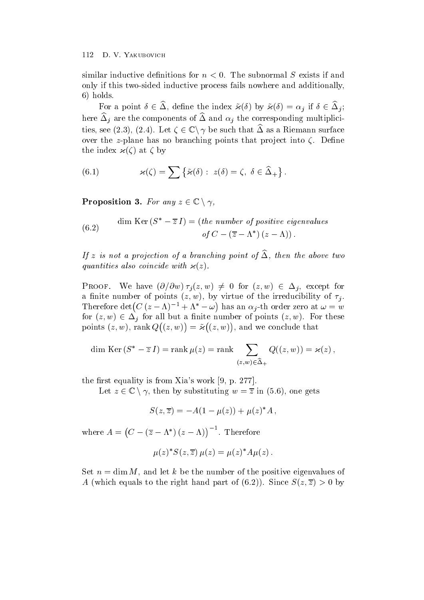similar inductive definitions for  $n < 0$ . The subnormal S exists if and only if this two-sided inductive process fails nowhere and additionally,  $\sim$  1.000  $\sim$  1.000  $\sim$  1.000  $\sim$  1.000  $\sim$  1.000  $\sim$  1.000  $\sim$  1.000  $\sim$  1.000  $\sim$  1.000  $\sim$  1.000  $\sim$  1.000  $\sim$  1.000  $\sim$  1.000  $\sim$  1.000  $\sim$  1.000  $\sim$  1.000  $\sim$  1.000  $\sim$  1.000  $\sim$  1.000  $\sim$  1.000

For a point  $\delta \in \Delta$ , define the index  $\tilde{\varkappa}(\delta)$  by  $\tilde{\varkappa}(\delta) = \alpha_i$  if  $\delta \in \Delta_i$ ; here  $\Delta_i$  are the components of  $\Delta$  and  $\alpha_i$  the corresponding multiplicities, see (2.3), (2.4). Let  $\zeta \in \mathbb{C} \backslash \gamma$  be such that  $\Delta$  as a Riemann surface over the z-plane has no branching points that project into  $\zeta$ . Define the index - at by

(6.1) 
$$
\varkappa(\zeta) = \sum \{ \tilde{\varkappa}(\delta) : z(\delta) = \zeta, \ \delta \in \widehat{\Delta}_+ \}.
$$

Proposition 3. For any  $z \in \mathbb{C} \setminus \gamma$ ,

(6.2) dim Ker 
$$
(S^* - \overline{z} I)
$$
 = (the number of positive eigenvalues  
of  $C - (\overline{z} - \Lambda^*)(z - \Lambda))$ .

If  $z$  is not a projection of a branching point of  $\Delta$ , then the above two  $\pm$ **quantities also contracted with -**

**PROOF.** We have  $(\partial/\partial w)\tau_i(z,w) \neq 0$  for  $(z,w) \in \Delta_i$ , except for a nite number of points  $\{x\}$  and  $\{y\}$  and it is not the irreducible of the irreducible  $\{y\}$  . Therefore det  $(C (z - \Lambda)^{-1} + \Lambda^* - \omega)$  has an  $\alpha_i$ has an interval  $\mathbf{f}$  th order zero at  $\mathbf{f}$  th order  $\mathbf{f}$  th order  $\mathbf{f}$  th order  $\mathbf{f}$ for  $(z, w) \in \Delta_i$  for all but a finite number of points  $(z, w)$ . For these points and provide the contract of the contract of the contract of the contract of the contract of the contract of the contract of the contract of the contract of the contract of the contract of the contract of the contrac z- w  $\sim$  -  $\sim$  -  $\sim$  -  $\sim$  -  $\sim$  -  $\sim$  -  $\sim$  -  $\sim$  -  $\sim$  -  $\sim$  -  $\sim$  -  $\sim$  -  $\sim$  -  $\sim$  -  $\sim$  -  $\sim$  -  $\sim$  -  $\sim$  -  $\sim$  -  $\sim$  -  $\sim$  -  $\sim$  -  $\sim$  -  $\sim$  -  $\sim$  -  $\sim$  -  $\sim$  -  $\sim$  -  $\sim$  -  $\sim$  -  $\sim$  -  $\sim$  $=\tilde{\varkappa}((z,w))$ , are warehouse **with the contract of the contract of the contract of the contract of the contract of the contract of the contract of the contract of the contract of the contract of the contract of the contract of the contract o**  $\mathcal{L}$  -  $\mathcal{L}$  -  $\mathcal{L}$  -  $\mathcal{L}$  -  $\mathcal{L}$  -  $\mathcal{L}$  -  $\mathcal{L}$  -  $\mathcal{L}$ 

$$
\dim \operatorname{Ker} \left( S^* - \overline{z} I \right) = \operatorname{rank} \mu(z) = \operatorname{rank} \sum_{(z,w) \in \widehat{\Delta}_+} Q((z,w)) = \varkappa(z),
$$

the rst equality is from Xias work - problem in the rst equality is from Xias work - problem in the rst equali

Let  $z \in \mathbb{C} \setminus \gamma$ , then by substituting  $w = \overline{z}$  in (5.6), one gets

$$
S(z,\overline{z}) = -A(1 - \mu(z)) + \mu(z)^* A,
$$

where  $A = (C - (\overline{z} - \Lambda^*)(z - \Lambda))^{-1}$ . Therefore

$$
\mu(z)^* S(z,\overline{z}) \mu(z) = \mu(z)^* A \mu(z) .
$$

Set  $n = \dim M$ , and let k be the number of the positive eigenvalues of A since  $\mathcal{L}$  and part of  $\mathcal{L}$  and part of  $\mathcal{L}$  . The right hand part of  $\mathcal{L}$  and  $\mathcal{L}$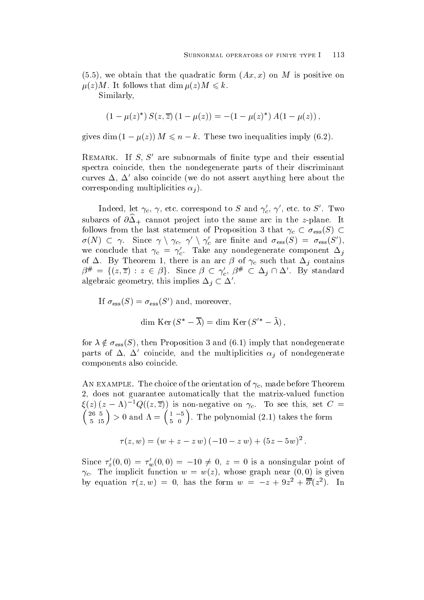we obtain that the quadratic form  $\mathcal{N}$  and  $\mathcal{N}$  are positive on M is positive on M is positive on M is positive on  $\mathcal{N}$  $\mathbb{R}^n$  is a following that dimensional  $\mathbb{R}^n$  is a following that dimensional  $\mathbb{R}^n$ 

Similarly

$$
(1 - \mu(z)^*) S(z, \overline{z}) (1 - \mu(z)) = -(1 - \mu(z)^*) A(1 - \mu(z)),
$$

gives  $\dim(U - \mu(z))$  in  $\leq n - \kappa$ . These two inequalities imply  $(0.2)$ .

 $R_{\rm E}$  remarks. The  $S_{\rm t}$  subnormals of nitrice type and their essential spectra coincide, then the nondegenerate parts of their discriminant curves  $\Delta$ ,  $\Delta$  also coincide (we do not assert anything here about the corresponding multiplicities in the corresponding multiplicities in the corresponding multiplicities in the corresponding of the corresponding multiplication in the corresponding material and corresponding multiplication i

Indeed, let  $\gamma_c, \gamma$ , etc. correspond to S and  $\gamma_c, \gamma$  , etc. to S . Two subarcs of  $\sigma \Delta$  cannot project into the same arc in the z-plane. To follows from the last statement of Proposition 3 that  $\gamma_c \subset \sigma_{\text{ess}}(S)$   $\sigma(N) \subset \gamma$ . Since  $\gamma \setminus \gamma_c$ ,  $\gamma' \setminus \gamma_c'$  are finite and  $\sigma_{\rm ess}(S) = \sigma_{\rm ess}(S'),$ we conclude that  $\gamma_c = \gamma_c$ . Take any nondegenerate component  $\Delta_j$ of  $\Delta$ . By Theorem 1, there is an arc  $\beta$  of  $\gamma_c$  such that  $\Delta_i$  contains  $\beta^{\#} = \{(z,\overline{z}) : z \in \beta\}$ . Since  $\beta \subset \gamma_c', \beta^{\#} \subset \Delta_j \cap \Delta'$ . By standard algebraic geometry, this implies  $\Delta_i \subset \Delta'$ .

If 
$$
\sigma_{\text{ess}}(S) = \sigma_{\text{ess}}(S')
$$
 and, moreover,  
\ndim Ker  $(S^* - \overline{\lambda}) = \text{dim Ker}(S'^* - \overline{\lambda}),$ 

for  $\lambda \notin \sigma_{\text{ess}}(S)$ , then Proposition 3 and (6.1) imply that nondegenerate parts of  $\Delta$ ,  $\Delta$  coincide, and the multiplicities  $\alpha_i$  of nondegenerate components also coincide

 $\mathbf{I}$ 2, does not guarantee automatically that the matrix-valued function  $\zeta(z)(z-\Lambda)$  -Q((z, z)) is non-negative on  $\gamma_c$ . To see this, set  $C =$  $\left(26\ 5\right)$ , 0  $\begin{pmatrix} 26 & 5 \ 5 & 15 \end{pmatrix} > 0 \text{ and } \Lambda = \begin{pmatrix} 1 & -5 \ 5 & 0 \end{pmatrix}.$  The  $\begin{pmatrix} 1 & -5 \\ 5 & 0 \end{pmatrix}$ . The polynomial  $(2.1)$  takes the form

$$
\tau(z, w) = (w + z - z w) (-10 - z w) + (5z - 5w)^2.
$$

Since  $\tau'_z(0,0) = \tau'_w(0,0) = -10 \neq 0, z = 0$  is a nonsingular point of is the implicit function whose  $\alpha$  whose graph near  $\alpha$  is  $\alpha$  ,  $\alpha$  is given  $\alpha$ by equation  $\tau(z, w) = 0$ , has the form  $w = -z + 9z^2 + o(z^2)$ . In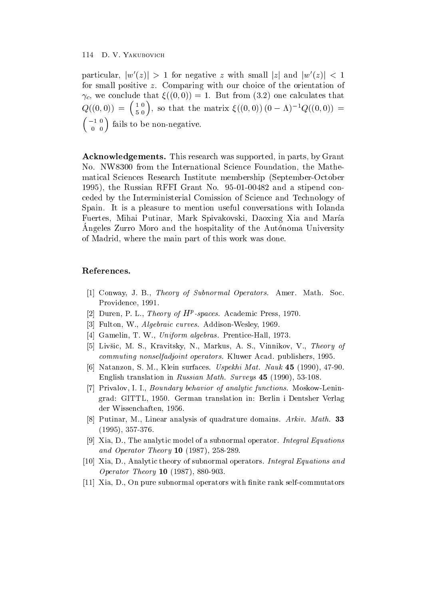particular,  $|w'(z)| > 1$  for negative z with small |z| and  $|w'(z)| < 1$ for small positive  $z$ . Comparing with our choice of the orientation of  $\mathcal{L}$  and conclude that  $\mathcal{L}$  and  $\mathcal{L}$  and  $\mathcal{L}$  and  $\mathcal{L}$  and  $\mathcal{L}$  and  $\mathcal{L}$  and  $\mathcal{L}$  and  $\mathcal{L}$  and  $\mathcal{L}$  and  $\mathcal{L}$  and  $\mathcal{L}$  and  $\mathcal{L}$  and  $\mathcal{L}$  and  $\mathcal{L}$  and  $\mathcal{L}$  and Q 
-  $(10)$  $\binom{1}{5}^0$ , so that the matrix  $\xi((0,0))(0-\Lambda)^{-1}Q((0,0))=$   $-101 c_{11}$  $\begin{pmatrix} -1 & 0 \\ 0 & 0 \end{pmatrix}$  fails to be non-negative.

Acknowledgements- This research was supported in parts by Grant No. NW8300 from the International Science Foundation, the Mathematical Sciences Research Institute membership (September-October the Russian RFF Contract No. 2014. In the Russian Research No. 2014, Inc. 2016. In the Russian Russian Russian ceded by the Interministerial Comission of Science and Technology of Spain It is a pleasure to mention useful conversations with Iolanda Fuertes, Mihai Putinar, Mark Spivakovski, Daoxing Xia and María Angeles Zurro Moro and the hospitality of the Autónoma University of Madrid, where the main part of this work was done.

# References-

- and the Subnormal Operators-Subnormal Operators- Society and Society and Society and Society and Society and S Providence, 1991.
- $|2|$  Duren, P. L., *Theory of*  $\pi$  *-spaces.* Academic Press, 1970.
- Fulton
 W Algebraic curves- AddisonWesley
- , www.com.com.com/windows/windows/windows/windows/windows/
- - Livsic M S Kravitsky N Markus A S Vinnikov V Theory of commuting nonselfadische and publishers-between Acad publishers-between Acad publishers and publishers are als
- , s matematic structure in the surface of the surface of the surface of the surface  $\mathcal{A}$ engelis translation in Russian Mathematic Mathematic Inc. I also the state of the state of the state of the st
- Privalov
 I I Boundary behavior of analytic functions- MoskowLenin grad GITTL - German translation in Berlin i Dentsher Verlag der Wissenchaften -
- Putinar M Linear analysis of quadrature domains Arkiv- Math- - -
- [9] Xia, D., The analytic model of a subnormal operator. Integral Equations and operator Theory Terms and Theory Theory Original
- [10] Xia, D., Analytic theory of subnormal operators. Integral Equations and Operator Theory 10  $(1987)$ , 880-903.
- [11] Xia, D., On pure subnormal operators with finite rank self-commutators